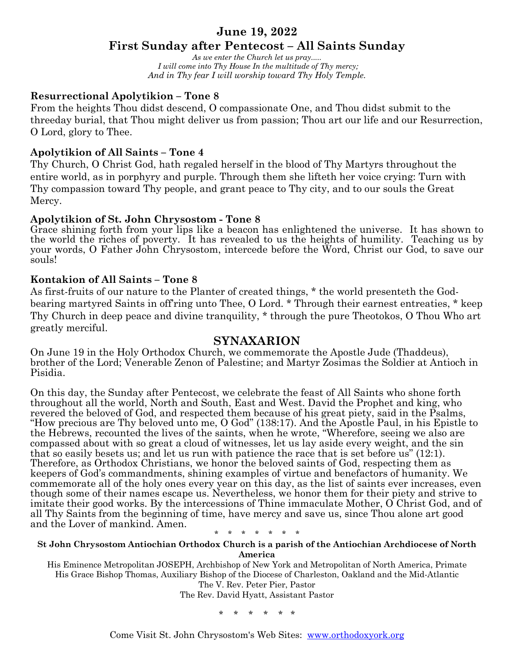## **June 19, 2022**

# **First Sunday after Pentecost – All Saints Sunday**

*As we enter the Church let us pray..... I will come into Thy House In the multitude of Thy mercy; And in Thy fear I will worship toward Thy Holy Temple.*

### **Resurrectional Apolytikion – Tone 8**

From the heights Thou didst descend, O compassionate One, and Thou didst submit to the threeday burial, that Thou might deliver us from passion; Thou art our life and our Resurrection, O Lord, glory to Thee.

## **Apolytikion of All Saints – Tone 4**

Thy Church, O Christ God, hath regaled herself in the blood of Thy Martyrs throughout the entire world, as in porphyry and purple. Through them she lifteth her voice crying: Turn with Thy compassion toward Thy people, and grant peace to Thy city, and to our souls the Great Mercy.

### **Apolytikion of St. John Chrysostom - Tone 8**

Grace shining forth from your lips like a beacon has enlightened the universe. It has shown to the world the riches of poverty. It has revealed to us the heights of humility. Teaching us by your words, O Father John Chrysostom, intercede before the Word, Christ our God, to save our souls!

### **Kontakion of All Saints – Tone 8**

As first-fruits of our nature to the Planter of created things, \* the world presenteth the Godbearing martyred Saints in off'ring unto Thee, O Lord. \* Through their earnest entreaties, \* keep Thy Church in deep peace and divine tranquility, \* through the pure Theotokos, O Thou Who art greatly merciful.

### **SYNAXARION**

On June 19 in the Holy Orthodox Church, we commemorate the Apostle Jude (Thaddeus), brother of the Lord; Venerable Zenon of Palestine; and Martyr Zosimas the Soldier at Antioch in Pisidia.

On this day, the Sunday after Pentecost, we celebrate the feast of All Saints who shone forth throughout all the world, North and South, East and West. David the Prophet and king, who revered the beloved of God, and respected them because of his great piety, said in the Psalms, "How precious are Thy beloved unto me, O God" (138:17). And the Apostle Paul, in his Epistle to the Hebrews, recounted the lives of the saints, when he wrote, "Wherefore, seeing we also are compassed about with so great a cloud of witnesses, let us lay aside every weight, and the sin that so easily besets us; and let us run with patience the race that is set before us" (12:1). Therefore, as Orthodox Christians, we honor the beloved saints of God, respecting them as keepers of God's commandments, shining examples of virtue and benefactors of humanity. We commemorate all of the holy ones every year on this day, as the list of saints ever increases, even though some of their names escape us. Nevertheless, we honor them for their piety and strive to imitate their good works. By the intercessions of Thine immaculate Mother, O Christ God, and of all Thy Saints from the beginning of time, have mercy and save us, since Thou alone art good and the Lover of mankind. Amen.

\* \* \* \* \* \* \*

#### **St John Chrysostom Antiochian Orthodox Church is a parish of the Antiochian Archdiocese of North America**

His Eminence Metropolitan JOSEPH, Archbishop of New York and Metropolitan of North America, Primate His Grace Bishop Thomas, Auxiliary Bishop of the Diocese of Charleston, Oakland and the Mid-Atlantic The V. Rev. Peter Pier, Pastor The Rev. David Hyatt, Assistant Pastor

\* \* \* \* \* \*

Come Visit St. John Chrysostom's Web Sites: www.orthodoxyork.org